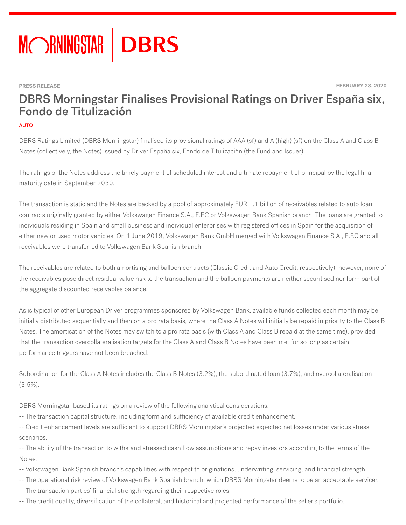

**PRESS RELEASE FEBRUARY 28, 2020** 

# DBRS Morningstar Finalises Provisional Ratings on Driver España six, Fondo de Titulización

#### AUTO

DBRS Ratings Limited (DBRS Morningstar) finalised its provisional ratings of AAA (sf) and A (high) (sf) on the Class A and Class B Notes (collectively, the Notes) issued by Driver España six, Fondo de Titulización (the Fund and Issuer).

The ratings of the Notes address the timely payment of scheduled interest and ultimate repayment of principal by the legal final maturity date in September 2030.

The transaction is static and the Notes are backed by a pool of approximately EUR 1.1 billion of receivables related to auto loan contracts originally granted by either Volkswagen Finance S.A., E.F.C or Volkswagen Bank Spanish branch. The loans are granted to individuals residing in Spain and small business and individual enterprises with registered offices in Spain for the acquisition of either new or used motor vehicles. On 1 June 2019, Volkswagen Bank GmbH merged with Volkswagen Finance S.A., E.F.C and all receivables were transferred to Volkswagen Bank Spanish branch.

The receivables are related to both amortising and balloon contracts (Classic Credit and Auto Credit, respectively); however, none of the receivables pose direct residual value risk to the transaction and the balloon payments are neither securitised nor form part of the aggregate discounted receivables balance.

As is typical of other European Driver programmes sponsored by Volkswagen Bank, available funds collected each month may be initially distributed sequentially and then on a pro rata basis, where the Class A Notes will initially be repaid in priority to the Class B Notes. The amortisation of the Notes may switch to a pro rata basis (with Class A and Class B repaid at the same time), provided that the transaction overcollateralisation targets for the Class A and Class B Notes have been met for so long as certain performance triggers have not been breached.

Subordination for the Class A Notes includes the Class B Notes (3.2%), the subordinated loan (3.7%), and overcollateralisation (3.5%).

DBRS Morningstar based its ratings on a review of the following analytical considerations:

- -- The transaction capital structure, including form and sufficiency of available credit enhancement.
- -- Credit enhancement levels are sufficient to support DBRS Morningstar's projected expected net losses under various stress scenarios.
- -- The ability of the transaction to withstand stressed cash flow assumptions and repay investors according to the terms of the Notes.
- -- Volkswagen Bank Spanish branch's capabilities with respect to originations, underwriting, servicing, and financial strength.
- -- The operational risk review of Volkswagen Bank Spanish branch, which DBRS Morningstar deems to be an acceptable servicer.
- -- The transaction parties' financial strength regarding their respective roles.
- -- The credit quality, diversification of the collateral, and historical and projected performance of the seller's portfolio.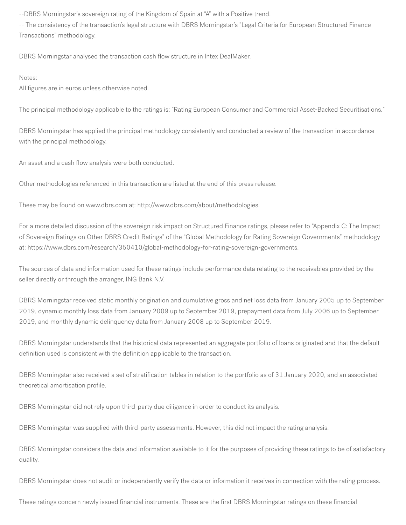--DBRS Morningstar's sovereign rating of the Kingdom of Spain at "A" with a Positive trend.

-- The consistency of the transaction's legal structure with DBRS Morningstar's "Legal Criteria for European Structured Finance Transactions" methodology.

DBRS Morningstar analysed the transaction cash flow structure in Intex DealMaker.

#### Notes:

All figures are in euros unless otherwise noted.

The principal methodology applicable to the ratings is: "Rating European Consumer and Commercial Asset-Backed Securitisations."

DBRS Morningstar has applied the principal methodology consistently and conducted a review of the transaction in accordance with the principal methodology.

An asset and a cash flow analysis were both conducted.

Other methodologies referenced in this transaction are listed at the end of this press release.

These may be found on www.dbrs.com at: http://www.dbrs.com/about/methodologies.

For a more detailed discussion of the sovereign risk impact on Structured Finance ratings, please refer to "Appendix C: The Impact of Sovereign Ratings on Other DBRS Credit Ratings" of the "Global Methodology for Rating Sovereign Governments" methodology at: https://www.dbrs.com/research/350410/global-methodology-for-rating-sovereign-governments.

The sources of data and information used for these ratings include performance data relating to the receivables provided by the seller directly or through the arranger, ING Bank N.V.

DBRS Morningstar received static monthly origination and cumulative gross and net loss data from January 2005 up to September 2019, dynamic monthly loss data from January 2009 up to September 2019, prepayment data from July 2006 up to September 2019, and monthly dynamic delinquency data from January 2008 up to September 2019.

DBRS Morningstar understands that the historical data represented an aggregate portfolio of loans originated and that the default definition used is consistent with the definition applicable to the transaction.

DBRS Morningstar also received a set of stratification tables in relation to the portfolio as of 31 January 2020, and an associated theoretical amortisation profile.

DBRS Morningstar did not rely upon third-party due diligence in order to conduct its analysis.

DBRS Morningstar was supplied with third-party assessments. However, this did not impact the rating analysis.

DBRS Morningstar considers the data and information available to it for the purposes of providing these ratings to be of satisfactory quality.

DBRS Morningstar does not audit or independently verify the data or information it receives in connection with the rating process.

These ratings concern newly issued financial instruments. These are the first DBRS Morningstar ratings on these financial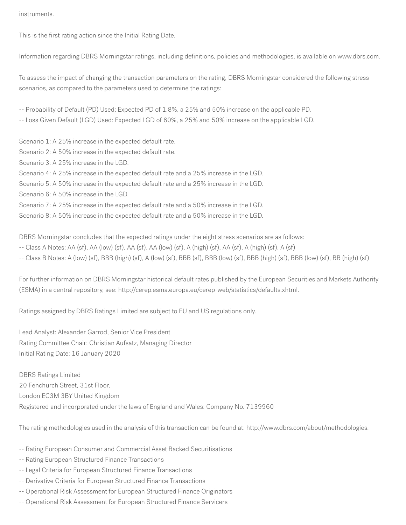instruments.

This is the first rating action since the Initial Rating Date.

Information regarding DBRS Morningstar ratings, including definitions, policies and methodologies, is available on www.dbrs.com.

To assess the impact of changing the transaction parameters on the rating, DBRS Morningstar considered the following stress scenarios, as compared to the parameters used to determine the ratings:

-- Probability of Default (PD) Used: Expected PD of 1.8%, a 25% and 50% increase on the applicable PD.

-- Loss Given Default (LGD) Used: Expected LGD of 60%, a 25% and 50% increase on the applicable LGD.

Scenario 1: A 25% increase in the expected default rate.

Scenario 2: A 50% increase in the expected default rate.

Scenario 3: A 25% increase in the LGD.

Scenario 4: A 25% increase in the expected default rate and a 25% increase in the LGD.

Scenario 5: A 50% increase in the expected default rate and a 25% increase in the LGD.

Scenario 6: A 50% increase in the LGD.

Scenario 7: A 25% increase in the expected default rate and a 50% increase in the LGD.

Scenario 8: A 50% increase in the expected default rate and a 50% increase in the LGD.

DBRS Morningstar concludes that the expected ratings under the eight stress scenarios are as follows:

-- Class A Notes: AA (sf), AA (low) (sf), AA (sf), AA (low) (sf), A (high) (sf), AA (sf), A (high) (sf), A (sf)

-- Class B Notes: A (low) (sf), BBB (high) (sf), A (low) (sf), BBB (sf), BBB (low) (sf), BBB (high) (sf), BBB (low) (sf), BB (high) (sf)

For further information on DBRS Morningstar historical default rates published by the European Securities and Markets Authority (ESMA) in a central repository, see: http://cerep.esma.europa.eu/cerep-web/statistics/defaults.xhtml.

Ratings assigned by DBRS Ratings Limited are subject to EU and US regulations only.

Lead Analyst: Alexander Garrod, Senior Vice President Rating Committee Chair: Christian Aufsatz, Managing Director Initial Rating Date: 16 January 2020

DBRS Ratings Limited 20 Fenchurch Street, 31st Floor, London EC3M 3BY United Kingdom Registered and incorporated under the laws of England and Wales: Company No. 7139960

The rating methodologies used in the analysis of this transaction can be found at: http://www.dbrs.com/about/methodologies.

- -- Rating European Consumer and Commercial Asset Backed Securitisations
- -- Rating European Structured Finance Transactions
- -- Legal Criteria for European Structured Finance Transactions
- -- Derivative Criteria for European Structured Finance Transactions
- -- Operational Risk Assessment for European Structured Finance Originators
- -- Operational Risk Assessment for European Structured Finance Servicers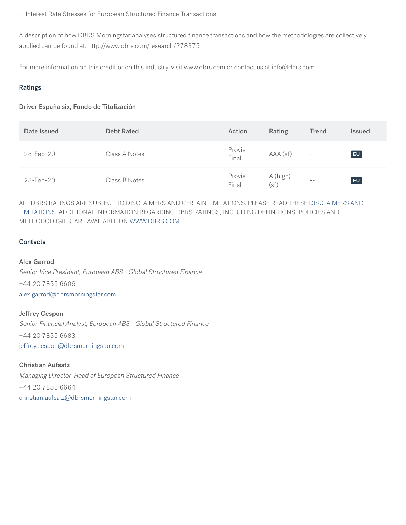-- Interest Rate Stresses for European Structured Finance Transactions

A description of how DBRS Morningstar analyses structured finance transactions and how the methodologies are collectively applied can be found at: http://www.dbrs.com/research/278375.

For more information on this credit or on this industry, visit www.dbrs.com or contact us at info@dbrs.com.

#### Ratings

#### Driver España six, Fondo de Titulización

| Date Issued | <b>Debt Rated</b> | Action            | Rating           | <b>Trend</b> | <b>Issued</b> |
|-------------|-------------------|-------------------|------------------|--------------|---------------|
| 28-Feb-20   | Class A Notes     | Provis.-<br>Final | AAA (sf)         | $- -$        | E             |
| 28-Feb-20   | Class B Notes     | Provis.-<br>Final | A (high)<br>(sf) | $- -$        | EU            |

ALL DBRS RATINGS ARE SUBJECT TO DISCLAIMERS AND CERTAIN LIMITATIONS. PLEASE READ THESE [DISCLAIMERS AND](https://www.dbrs.com/disclaimer/) [LIMITATIONS](https://www.dbrs.com/disclaimer/). ADDITIONAL INFORMATION REGARDING DBRS RATINGS, INCLUDING DEFINITIONS, POLICIES AND METHODOLOGIES, ARE AVAILABLE ON [WWW.DBRS.COM](https://www.dbrs.com).

#### **Contacts**

## Alex Garrod

Senior Vice President, European ABS - Global Structured Finance +44 20 7855 6606 [alex.garrod@dbrsmorningstar.com](mailto:alex.garrod@dbrsmorningstar.com)

Jeffrey Cespon

Senior Financial Analyst, European ABS - Global Structured Finance +44 20 7855 6683

[jeffrey.cespon@dbrsmorningstar.com](mailto:jeffrey.cespon@dbrsmorningstar.com)

### Christian Aufsatz

Managing Director, Head of European Structured Finance +44 20 7855 6664 [christian.aufsatz@dbrsmorningstar.com](mailto:christian.aufsatz@dbrsmorningstar.com)